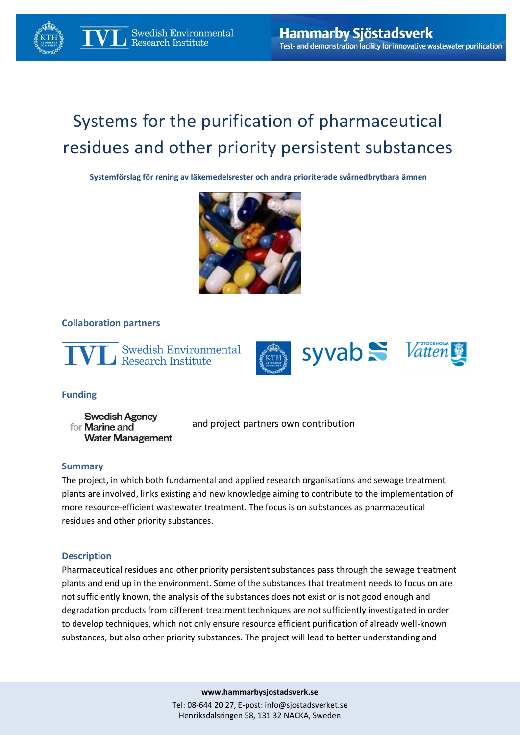# Systems for the purification of pharmaceutical residues and other priority persistent substances

**Systemförslag för rening av läkemedelsrester och andra prioriterade svårnedbrytbara ämnen**



### **Collaboration partners**



Swedish Environmental **Research Institute** 



## **Funding**

**Swedish Agency** for **Marine and Water Management** 

and project partners own contribution

### **Summary**

The project, in which both fundamental and applied research organisations and sewage treatment plants are involved, links existing and new knowledge aiming to contribute to the implementation of more resource-efficient wastewater treatment. The focus is on substances as pharmaceutical residues and other priority substances.

### **Description**

Pharmaceutical residues and other priority persistent substances pass through the sewage treatment plants and end up in the environment. Some of the substances that treatment needs to focus on are not sufficiently known, the analysis of the substances does not exist or is not good enough and degradation products from different treatment techniques are not sufficiently investigated in order to develop techniques, which not only ensure resource efficient purification of already well-known substances, but also other priority substances. The project will lead to better understanding and

**www.hammarbysjostadsverk.se**

Tel: 08-644 20 27, E-post[: info@sjostadsverket.se](mailto:info@sjostadsverket.se) Henriksdalsringen 58, 131 32 NACKA, Sweden